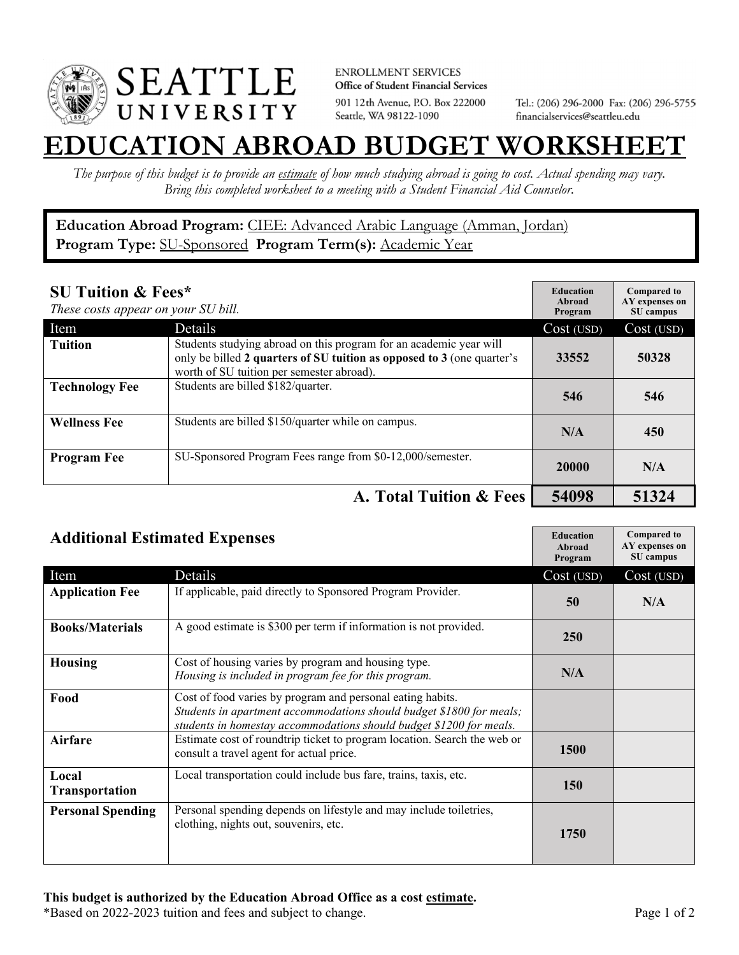

**ENROLLMENT SERVICES** Office of Student Financial Services 901 12th Avenue, P.O. Box 222000 Seattle, WA 98122-1090

Tel.: (206) 296-2000 Fax: (206) 296-5755 financialservices@seattleu.edu

## **EATION ABROAD BUDGET WORKSHEE**

*The purpose of this budget is to provide an estimate of how much studying abroad is going to cost. Actual spending may vary. Bring this completed worksheet to a meeting with a Student Financial Aid Counselor.* 

**Education Abroad Program:** CIEE: Advanced Arabic Language (Amman, Jordan) Program Type: **SU-Sponsored** Program Term(s): **Academic Year** 

| <b>SU Tuition &amp; Fees*</b><br>These costs appear on your SU bill. |                                                                                                                                                                                           | <b>Education</b><br>Abroad<br>Program | <b>Compared to</b><br>AY expenses on<br>SU campus |
|----------------------------------------------------------------------|-------------------------------------------------------------------------------------------------------------------------------------------------------------------------------------------|---------------------------------------|---------------------------------------------------|
| Item                                                                 | <b>Details</b>                                                                                                                                                                            | Cost (USD)                            | Cost (USD)                                        |
| <b>Tuition</b>                                                       | Students studying abroad on this program for an academic year will<br>only be billed 2 quarters of SU tuition as opposed to 3 (one quarter's<br>worth of SU tuition per semester abroad). | 33552                                 | 50328                                             |
| <b>Technology Fee</b>                                                | Students are billed \$182/quarter.                                                                                                                                                        | 546                                   | 546                                               |
| <b>Wellness Fee</b>                                                  | Students are billed \$150/quarter while on campus.                                                                                                                                        | N/A                                   | 450                                               |
| <b>Program Fee</b>                                                   | SU-Sponsored Program Fees range from \$0-12,000/semester.                                                                                                                                 | 20000                                 | N/A                                               |
|                                                                      | A. Total Tuition & Fees                                                                                                                                                                   | 54098                                 | 51324                                             |

| <b>Additional Estimated Expenses</b> |                                                                                                                                                                                                           | <b>Education</b><br>Abroad<br>Program | <b>Compared to</b><br>AY expenses on<br>SU campus |
|--------------------------------------|-----------------------------------------------------------------------------------------------------------------------------------------------------------------------------------------------------------|---------------------------------------|---------------------------------------------------|
| Item                                 | Details                                                                                                                                                                                                   | Cost (USD)                            | Cost (USD)                                        |
| <b>Application Fee</b>               | If applicable, paid directly to Sponsored Program Provider.                                                                                                                                               | 50                                    | N/A                                               |
| <b>Books/Materials</b>               | A good estimate is \$300 per term if information is not provided.                                                                                                                                         | 250                                   |                                                   |
| <b>Housing</b>                       | Cost of housing varies by program and housing type.<br>Housing is included in program fee for this program.                                                                                               | N/A                                   |                                                   |
| Food                                 | Cost of food varies by program and personal eating habits.<br>Students in apartment accommodations should budget \$1800 for meals;<br>students in homestay accommodations should budget \$1200 for meals. |                                       |                                                   |
| <b>Airfare</b>                       | Estimate cost of roundtrip ticket to program location. Search the web or<br>consult a travel agent for actual price.                                                                                      | <b>1500</b>                           |                                                   |
| Local<br>Transportation              | Local transportation could include bus fare, trains, taxis, etc.                                                                                                                                          | <b>150</b>                            |                                                   |
| <b>Personal Spending</b>             | Personal spending depends on lifestyle and may include toiletries,<br>clothing, nights out, souvenirs, etc.                                                                                               | 1750                                  |                                                   |

\*Based on 2022-2023 tuition and fees and subject to change. Page 1 of 2